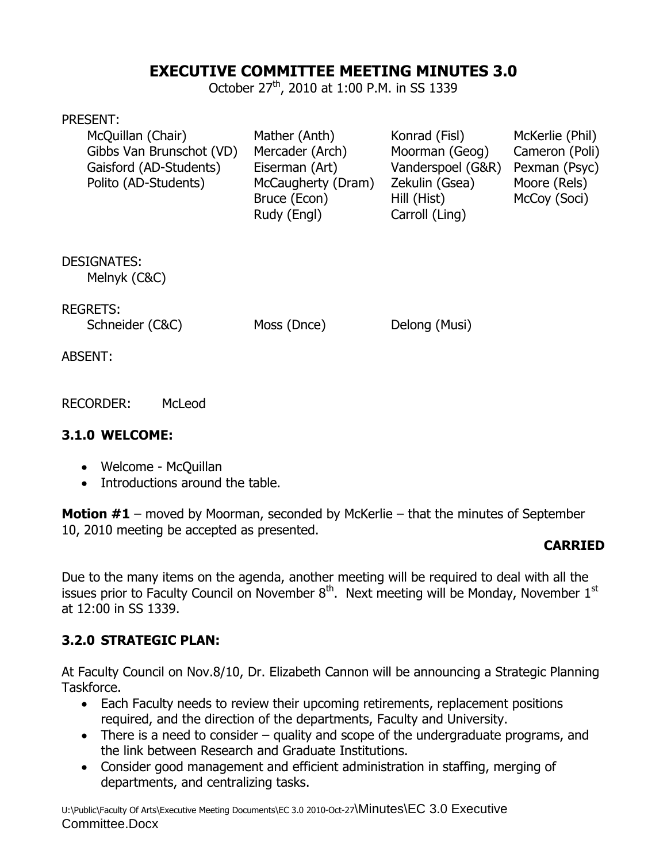# **EXECUTIVE COMMITTEE MEETING MINUTES 3.0**

October 27<sup>th</sup>, 2010 at 1:00 P.M. in SS 1339

#### PRESENT:

| McQuillan (Chair)        | Mather (Anth)      | Konrad (Fisl)     | McKerlie (Phil) |
|--------------------------|--------------------|-------------------|-----------------|
| Gibbs Van Brunschot (VD) | Mercader (Arch)    | Moorman (Geog)    | Cameron (Poli)  |
| Gaisford (AD-Students)   | Eiserman (Art)     | Vanderspoel (G&R) | Pexman (Psyc)   |
| Polito (AD-Students)     | McCaugherty (Dram) | Zekulin (Gsea)    | Moore (Rels)    |
|                          | Bruce (Econ)       | Hill (Hist)       | McCoy (Soci)    |
|                          | Rudy (Engl)        | Carroll (Ling)    |                 |

DESIGNATES:

Melnyk (C&C)

REGRETS:

Schneider (C&C) Moss (Dnce) Delong (Musi)

ABSENT:

RECORDER: McLeod

#### **3.1.0 WELCOME:**

- Welcome McQuillan
- Introductions around the table.

**Motion #1** – moved by Moorman, seconded by McKerlie – that the minutes of September 10, 2010 meeting be accepted as presented.

### **CARRIED**

Due to the many items on the agenda, another meeting will be required to deal with all the issues prior to Faculty Council on November  $8<sup>th</sup>$ . Next meeting will be Monday, November 1<sup>st</sup> at 12:00 in SS 1339.

# **3.2.0 STRATEGIC PLAN:**

At Faculty Council on Nov.8/10, Dr. Elizabeth Cannon will be announcing a Strategic Planning Taskforce.

- Each Faculty needs to review their upcoming retirements, replacement positions required, and the direction of the departments, Faculty and University.
- There is a need to consider quality and scope of the undergraduate programs, and the link between Research and Graduate Institutions.
- Consider good management and efficient administration in staffing, merging of departments, and centralizing tasks.

U:\Public\Faculty Of Arts\Executive Meeting Documents\EC 3.0 2010-Oct-27\Minutes\EC 3.0 Executive Committee.Docx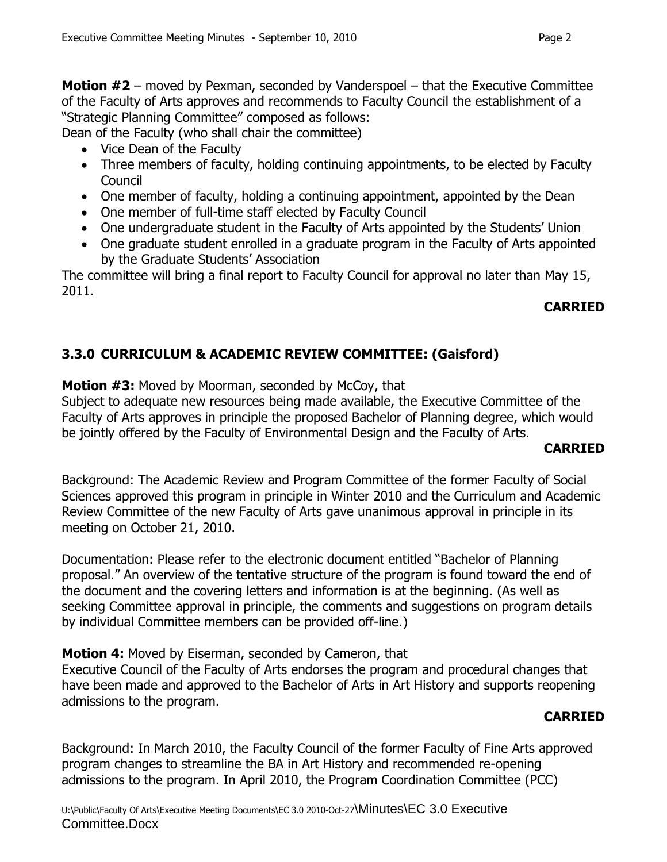**Motion #2** – moved by Pexman, seconded by Vanderspoel – that the Executive Committee of the Faculty of Arts approves and recommends to Faculty Council the establishment of a "Strategic Planning Committee" composed as follows:

Dean of the Faculty (who shall chair the committee)

- Vice Dean of the Faculty
- Three members of faculty, holding continuing appointments, to be elected by Faculty Council
- One member of faculty, holding a continuing appointment, appointed by the Dean
- One member of full-time staff elected by Faculty Council
- One undergraduate student in the Faculty of Arts appointed by the Students' Union
- One graduate student enrolled in a graduate program in the Faculty of Arts appointed by the Graduate Students' Association

The committee will bring a final report to Faculty Council for approval no later than May 15, 2011.

# **CARRIED**

# **3.3.0 CURRICULUM & ACADEMIC REVIEW COMMITTEE: (Gaisford)**

**Motion #3:** Moved by Moorman, seconded by McCoy, that Subject to adequate new resources being made available, the Executive Committee of the Faculty of Arts approves in principle the proposed Bachelor of Planning degree, which would be jointly offered by the Faculty of Environmental Design and the Faculty of Arts.

### **CARRIED**

Background: The Academic Review and Program Committee of the former Faculty of Social Sciences approved this program in principle in Winter 2010 and the Curriculum and Academic Review Committee of the new Faculty of Arts gave unanimous approval in principle in its meeting on October 21, 2010.

Documentation: Please refer to the electronic document entitled "Bachelor of Planning proposal." An overview of the tentative structure of the program is found toward the end of the document and the covering letters and information is at the beginning. (As well as seeking Committee approval in principle, the comments and suggestions on program details by individual Committee members can be provided off-line.)

**Motion 4:** Moved by Eiserman, seconded by Cameron, that

Executive Council of the Faculty of Arts endorses the program and procedural changes that have been made and approved to the Bachelor of Arts in Art History and supports reopening admissions to the program.

# **CARRIED**

Background: In March 2010, the Faculty Council of the former Faculty of Fine Arts approved program changes to streamline the BA in Art History and recommended re-opening admissions to the program. In April 2010, the Program Coordination Committee (PCC)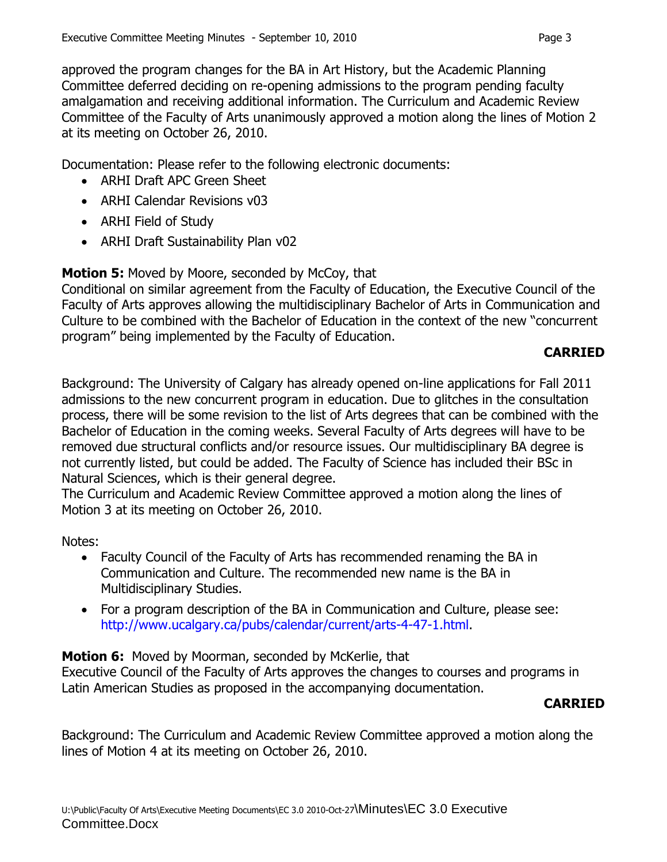approved the program changes for the BA in Art History, but the Academic Planning Committee deferred deciding on re-opening admissions to the program pending faculty amalgamation and receiving additional information. The Curriculum and Academic Review Committee of the Faculty of Arts unanimously approved a motion along the lines of Motion 2 at its meeting on October 26, 2010.

Documentation: Please refer to the following electronic documents:

- ARHI Draft APC Green Sheet
- ARHI Calendar Revisions v03
- ARHI Field of Study
- ARHI Draft Sustainability Plan v02

**Motion 5:** Moved by Moore, seconded by McCoy, that

Conditional on similar agreement from the Faculty of Education, the Executive Council of the Faculty of Arts approves allowing the multidisciplinary Bachelor of Arts in Communication and Culture to be combined with the Bachelor of Education in the context of the new "concurrent program" being implemented by the Faculty of Education.

## **CARRIED**

Background: The University of Calgary has already opened on-line applications for Fall 2011 admissions to the new concurrent program in education. Due to glitches in the consultation process, there will be some revision to the list of Arts degrees that can be combined with the Bachelor of Education in the coming weeks. Several Faculty of Arts degrees will have to be removed due structural conflicts and/or resource issues. Our multidisciplinary BA degree is not currently listed, but could be added. The Faculty of Science has included their BSc in Natural Sciences, which is their general degree.

The Curriculum and Academic Review Committee approved a motion along the lines of Motion 3 at its meeting on October 26, 2010.

Notes:

- Faculty Council of the Faculty of Arts has recommended renaming the BA in Communication and Culture. The recommended new name is the BA in Multidisciplinary Studies.
- For a program description of the BA in Communication and Culture, please see: http://www.ucalgary.ca/pubs/calendar/current/arts-4-47-1.html.

**Motion 6:** Moved by Moorman, seconded by McKerlie, that

Executive Council of the Faculty of Arts approves the changes to courses and programs in Latin American Studies as proposed in the accompanying documentation.

### **CARRIED**

Background: The Curriculum and Academic Review Committee approved a motion along the lines of Motion 4 at its meeting on October 26, 2010.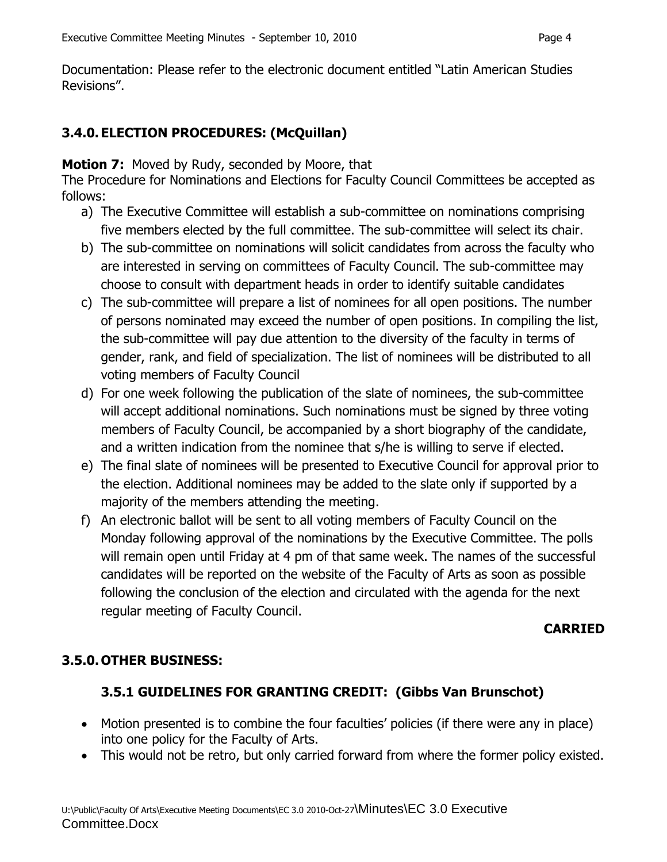Documentation: Please refer to the electronic document entitled "Latin American Studies Revisions".

## **3.4.0.ELECTION PROCEDURES: (McQuillan)**

#### **Motion 7:** Moved by Rudy, seconded by Moore, that

The Procedure for Nominations and Elections for Faculty Council Committees be accepted as follows:

- a) The Executive Committee will establish a sub-committee on nominations comprising five members elected by the full committee. The sub-committee will select its chair.
- b) The sub-committee on nominations will solicit candidates from across the faculty who are interested in serving on committees of Faculty Council. The sub-committee may choose to consult with department heads in order to identify suitable candidates
- c) The sub-committee will prepare a list of nominees for all open positions. The number of persons nominated may exceed the number of open positions. In compiling the list, the sub-committee will pay due attention to the diversity of the faculty in terms of gender, rank, and field of specialization. The list of nominees will be distributed to all voting members of Faculty Council
- d) For one week following the publication of the slate of nominees, the sub-committee will accept additional nominations. Such nominations must be signed by three voting members of Faculty Council, be accompanied by a short biography of the candidate, and a written indication from the nominee that s/he is willing to serve if elected.
- e) The final slate of nominees will be presented to Executive Council for approval prior to the election. Additional nominees may be added to the slate only if supported by a majority of the members attending the meeting.
- f) An electronic ballot will be sent to all voting members of Faculty Council on the Monday following approval of the nominations by the Executive Committee. The polls will remain open until Friday at 4 pm of that same week. The names of the successful candidates will be reported on the website of the Faculty of Arts as soon as possible following the conclusion of the election and circulated with the agenda for the next regular meeting of Faculty Council.

#### **CARRIED**

#### **3.5.0.OTHER BUSINESS:**

### **3.5.1 GUIDELINES FOR GRANTING CREDIT: (Gibbs Van Brunschot)**

- Motion presented is to combine the four faculties' policies (if there were any in place) into one policy for the Faculty of Arts.
- This would not be retro, but only carried forward from where the former policy existed.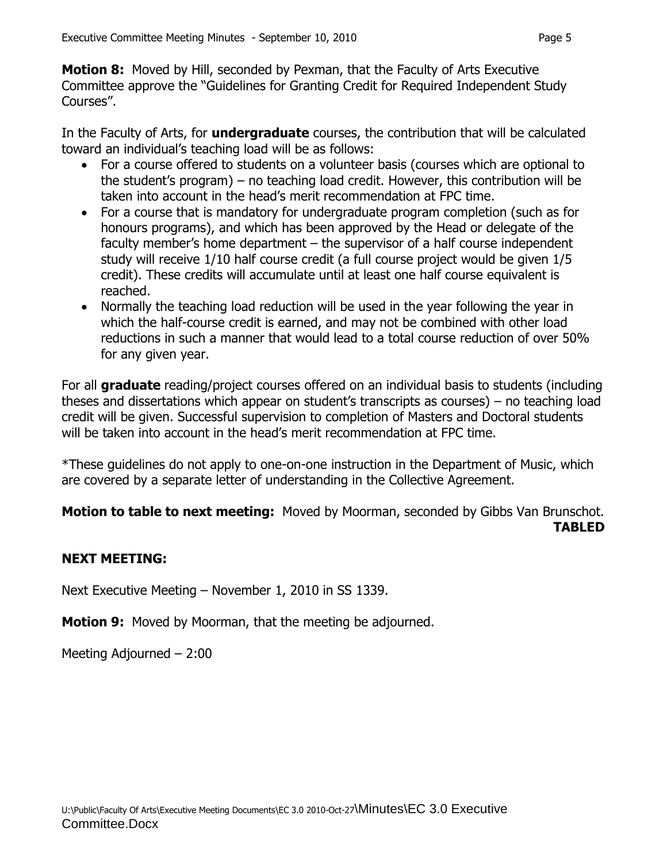**Motion 8:** Moved by Hill, seconded by Pexman, that the Faculty of Arts Executive Committee approve the "Guidelines for Granting Credit for Required Independent Study Courses".

In the Faculty of Arts, for **undergraduate** courses, the contribution that will be calculated toward an individual's teaching load will be as follows:

- For a course offered to students on a volunteer basis (courses which are optional to the student's program) – no teaching load credit. However, this contribution will be taken into account in the head's merit recommendation at FPC time.
- For a course that is mandatory for undergraduate program completion (such as for honours programs), and which has been approved by the Head or delegate of the faculty member's home department – the supervisor of a half course independent study will receive 1/10 half course credit (a full course project would be given 1/5 credit). These credits will accumulate until at least one half course equivalent is reached.
- Normally the teaching load reduction will be used in the year following the year in which the half-course credit is earned, and may not be combined with other load reductions in such a manner that would lead to a total course reduction of over 50% for any given year.

For all **graduate** reading/project courses offered on an individual basis to students (including theses and dissertations which appear on student's transcripts as courses) – no teaching load credit will be given. Successful supervision to completion of Masters and Doctoral students will be taken into account in the head's merit recommendation at FPC time.

\*These guidelines do not apply to one-on-one instruction in the Department of Music, which are covered by a separate letter of understanding in the Collective Agreement.

**Motion to table to next meeting:** Moved by Moorman, seconded by Gibbs Van Brunschot. **TABLED**

# **NEXT MEETING:**

Next Executive Meeting – November 1, 2010 in SS 1339.

**Motion 9:** Moved by Moorman, that the meeting be adjourned.

Meeting Adjourned – 2:00